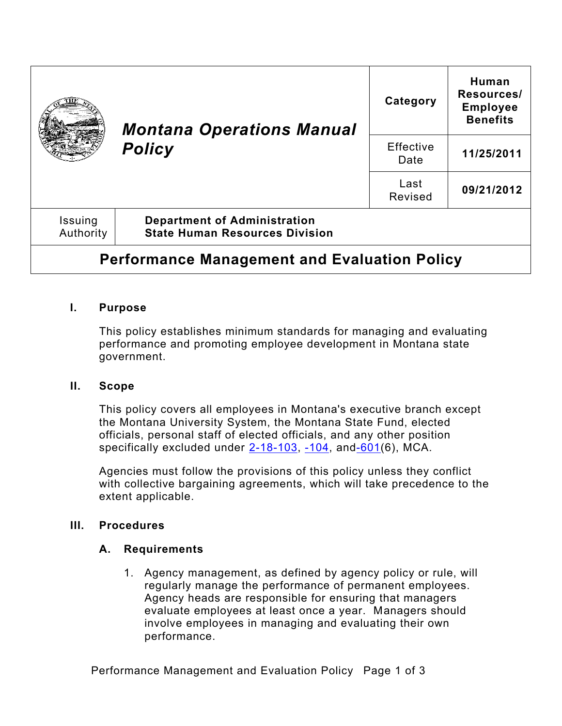|                                                     | <b>Montana Operations Manual</b><br><b>Policy</b>                            | Category          | Human<br>Resources/<br><b>Employee</b><br><b>Benefits</b> |
|-----------------------------------------------------|------------------------------------------------------------------------------|-------------------|-----------------------------------------------------------|
|                                                     |                                                                              | Effective<br>Date | 11/25/2011                                                |
|                                                     |                                                                              | Last<br>Revised   | 09/21/2012                                                |
| Issuing<br>Authority                                | <b>Department of Administration</b><br><b>State Human Resources Division</b> |                   |                                                           |
| <b>Performance Management and Evaluation Policy</b> |                                                                              |                   |                                                           |

## **I. Purpose**

This policy establishes minimum standards for managing and evaluating performance and promoting employee development in Montana state government.

### **II. Scope**

This policy covers all employees in Montana's executive branch except the Montana University System, the Montana State Fund, elected officials, personal staff of elected officials, and any other position specifically excluded under  $2-18-103$ ,  $-104$ , and $-601(6)$ , MCA.

Agencies must follow the provisions of this policy unless they conflict with collective bargaining agreements, which will take precedence to the extent applicable.

## **III. Procedures**

## **A. Requirements**

1. Agency management, as defined by agency policy or rule, will regularly manage the performance of permanent employees. Agency heads are responsible for ensuring that managers evaluate employees at least once a year. Managers should involve employees in managing and evaluating their own performance.

Performance Management and Evaluation Policy Page 1 of 3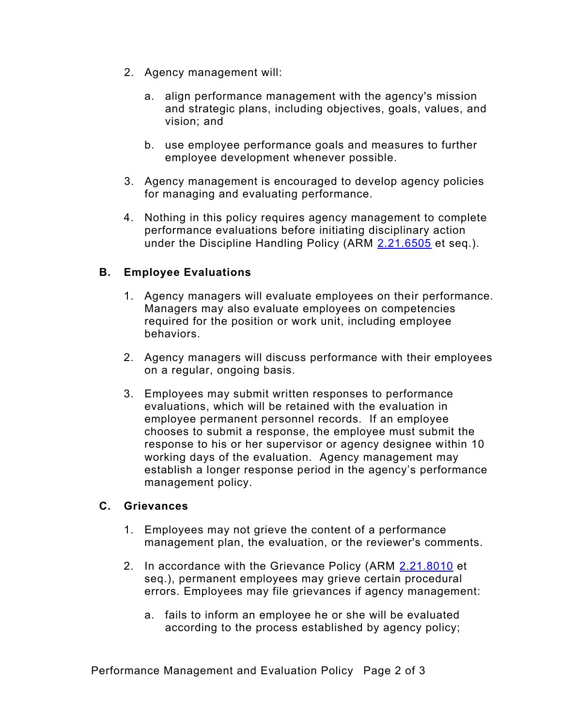- 2. Agency management will:
	- a. align performance management with the agency's mission and strategic plans, including objectives, goals, values, and vision; and
	- b. use employee performance goals and measures to further employee development whenever possible.
- 3. Agency management is encouraged to develop agency policies for managing and evaluating performance.
- 4. Nothing in this policy requires agency management to complete performance evaluations before initiating disciplinary action under the Discipline Handling Policy (ARM [2.21.6505](http://www.mtrules.org/gateway/Subchapterhome.asp?scn=2%2E21.65) et seq.).

# **B. Employee Evaluations**

- 1. Agency managers will evaluate employees on their performance. Managers may also evaluate employees on competencies required for the position or work unit, including employee behaviors.
- 2. Agency managers will discuss performance with their employees on a regular, ongoing basis.
- 3. Employees may submit written responses to performance evaluations, which will be retained with the evaluation in employee permanent personnel records. If an employee chooses to submit a response, the employee must submit the response to his or her supervisor or agency designee within 10 working days of the evaluation. Agency management may establish a longer response period in the agency's performance management policy.

### **C. Grievances**

- 1. Employees may not grieve the content of a performance management plan, the evaluation, or the reviewer's comments.
- 2. In accordance with the Grievance Policy (ARM [2.21.801](http://www.mtrules.org/gateway/ruleno.asp?RN=2%2E21%2E8010)0 et seq.), permanent employees may grieve certain procedural errors. Employees may file grievances if agency management:
	- a. fails to inform an employee he or she will be evaluated according to the process established by agency policy;